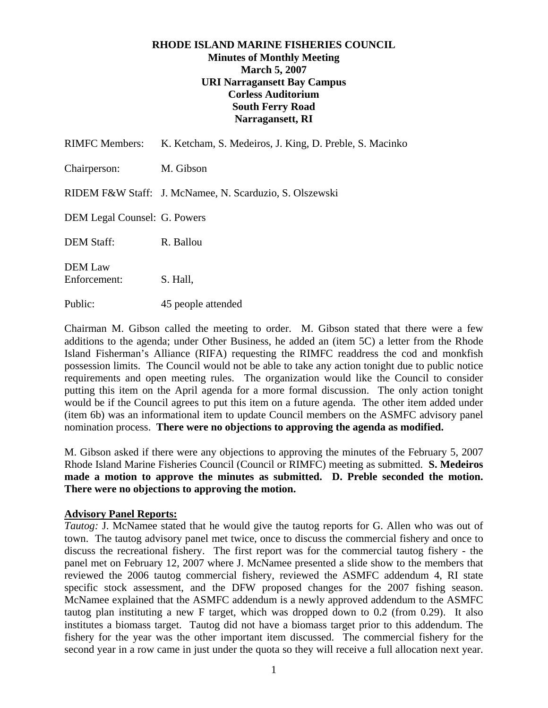## **RHODE ISLAND MARINE FISHERIES COUNCIL Minutes of Monthly Meeting March 5, 2007 URI Narragansett Bay Campus Corless Auditorium South Ferry Road Narragansett, RI**

| <b>RIMFC Members:</b>          | K. Ketcham, S. Medeiros, J. King, D. Preble, S. Macinko |
|--------------------------------|---------------------------------------------------------|
| Chairperson:                   | M. Gibson                                               |
|                                | RIDEM F&W Staff: J. McNamee, N. Scarduzio, S. Olszewski |
| DEM Legal Counsel: G. Powers   |                                                         |
| <b>DEM Staff:</b>              | R. Ballou                                               |
| <b>DEM Law</b><br>Enforcement: | S. Hall,                                                |
| Public:                        | 45 people attended                                      |

Chairman M. Gibson called the meeting to order. M. Gibson stated that there were a few additions to the agenda; under Other Business, he added an (item 5C) a letter from the Rhode Island Fisherman's Alliance (RIFA) requesting the RIMFC readdress the cod and monkfish possession limits. The Council would not be able to take any action tonight due to public notice requirements and open meeting rules. The organization would like the Council to consider putting this item on the April agenda for a more formal discussion. The only action tonight would be if the Council agrees to put this item on a future agenda. The other item added under (item 6b) was an informational item to update Council members on the ASMFC advisory panel nomination process. **There were no objections to approving the agenda as modified.** 

M. Gibson asked if there were any objections to approving the minutes of the February 5, 2007 Rhode Island Marine Fisheries Council (Council or RIMFC) meeting as submitted. **S. Medeiros made a motion to approve the minutes as submitted. D. Preble seconded the motion. There were no objections to approving the motion.**

### **Advisory Panel Reports:**

*Tautog:* J. McNamee stated that he would give the tautog reports for G. Allen who was out of town. The tautog advisory panel met twice, once to discuss the commercial fishery and once to discuss the recreational fishery. The first report was for the commercial tautog fishery - the panel met on February 12, 2007 where J. McNamee presented a slide show to the members that reviewed the 2006 tautog commercial fishery, reviewed the ASMFC addendum 4, RI state specific stock assessment, and the DFW proposed changes for the 2007 fishing season. McNamee explained that the ASMFC addendum is a newly approved addendum to the ASMFC tautog plan instituting a new F target, which was dropped down to 0.2 (from 0.29). It also institutes a biomass target. Tautog did not have a biomass target prior to this addendum. The fishery for the year was the other important item discussed. The commercial fishery for the second year in a row came in just under the quota so they will receive a full allocation next year.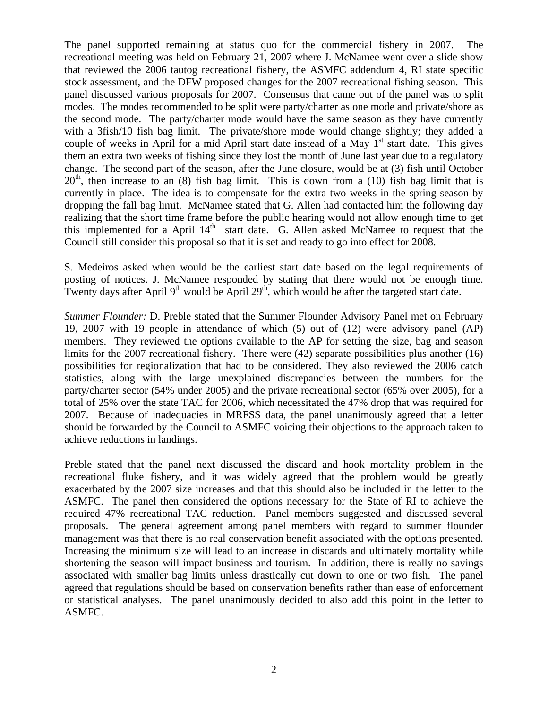The panel supported remaining at status quo for the commercial fishery in 2007. The recreational meeting was held on February 21, 2007 where J. McNamee went over a slide show that reviewed the 2006 tautog recreational fishery, the ASMFC addendum 4, RI state specific stock assessment, and the DFW proposed changes for the 2007 recreational fishing season. This panel discussed various proposals for 2007. Consensus that came out of the panel was to split modes. The modes recommended to be split were party/charter as one mode and private/shore as the second mode. The party/charter mode would have the same season as they have currently with a 3fish/10 fish bag limit. The private/shore mode would change slightly; they added a couple of weeks in April for a mid April start date instead of a May  $1<sup>st</sup>$  start date. This gives them an extra two weeks of fishing since they lost the month of June last year due to a regulatory change. The second part of the season, after the June closure, would be at (3) fish until October  $20<sup>th</sup>$ , then increase to an (8) fish bag limit. This is down from a (10) fish bag limit that is currently in place. The idea is to compensate for the extra two weeks in the spring season by dropping the fall bag limit. McNamee stated that G. Allen had contacted him the following day realizing that the short time frame before the public hearing would not allow enough time to get this implemented for a April  $14<sup>th</sup>$  start date. G. Allen asked McNamee to request that the Council still consider this proposal so that it is set and ready to go into effect for 2008.

S. Medeiros asked when would be the earliest start date based on the legal requirements of posting of notices. J. McNamee responded by stating that there would not be enough time. Twenty days after April 9<sup>th</sup> would be April 29<sup>th</sup>, which would be after the targeted start date.

*Summer Flounder:* D. Preble stated that the Summer Flounder Advisory Panel met on February 19, 2007 with 19 people in attendance of which (5) out of (12) were advisory panel (AP) members. They reviewed the options available to the AP for setting the size, bag and season limits for the 2007 recreational fishery. There were (42) separate possibilities plus another (16) possibilities for regionalization that had to be considered. They also reviewed the 2006 catch statistics, along with the large unexplained discrepancies between the numbers for the party/charter sector (54% under 2005) and the private recreational sector (65% over 2005), for a total of 25% over the state TAC for 2006, which necessitated the 47% drop that was required for 2007. Because of inadequacies in MRFSS data, the panel unanimously agreed that a letter should be forwarded by the Council to ASMFC voicing their objections to the approach taken to achieve reductions in landings.

Preble stated that the panel next discussed the discard and hook mortality problem in the recreational fluke fishery, and it was widely agreed that the problem would be greatly exacerbated by the 2007 size increases and that this should also be included in the letter to the ASMFC. The panel then considered the options necessary for the State of RI to achieve the required 47% recreational TAC reduction. Panel members suggested and discussed several proposals. The general agreement among panel members with regard to summer flounder management was that there is no real conservation benefit associated with the options presented. Increasing the minimum size will lead to an increase in discards and ultimately mortality while shortening the season will impact business and tourism. In addition, there is really no savings associated with smaller bag limits unless drastically cut down to one or two fish. The panel agreed that regulations should be based on conservation benefits rather than ease of enforcement or statistical analyses. The panel unanimously decided to also add this point in the letter to ASMFC.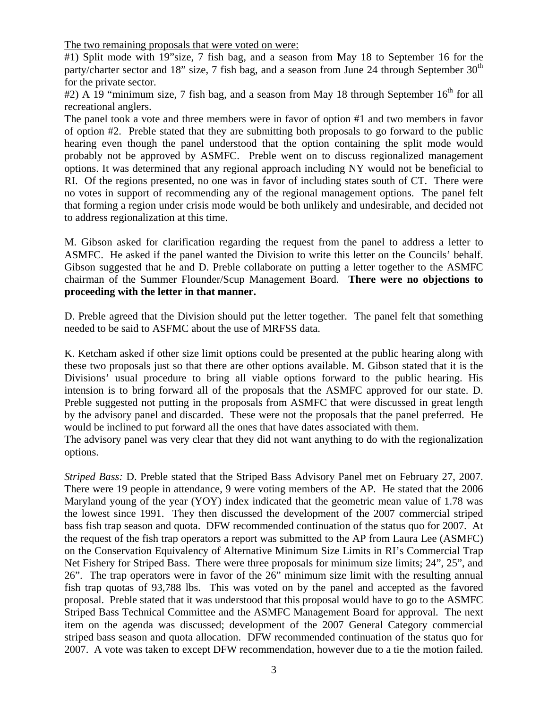The two remaining proposals that were voted on were:

#1) Split mode with 19"size, 7 fish bag, and a season from May 18 to September 16 for the party/charter sector and 18" size, 7 fish bag, and a season from June 24 through September  $30<sup>th</sup>$ for the private sector.

 $\#2$ ) A 19 "minimum size, 7 fish bag, and a season from May 18 through September 16<sup>th</sup> for all recreational anglers.

The panel took a vote and three members were in favor of option #1 and two members in favor of option #2. Preble stated that they are submitting both proposals to go forward to the public hearing even though the panel understood that the option containing the split mode would probably not be approved by ASMFC. Preble went on to discuss regionalized management options. It was determined that any regional approach including NY would not be beneficial to RI. Of the regions presented, no one was in favor of including states south of CT. There were no votes in support of recommending any of the regional management options. The panel felt that forming a region under crisis mode would be both unlikely and undesirable, and decided not to address regionalization at this time.

M. Gibson asked for clarification regarding the request from the panel to address a letter to ASMFC. He asked if the panel wanted the Division to write this letter on the Councils' behalf. Gibson suggested that he and D. Preble collaborate on putting a letter together to the ASMFC chairman of the Summer Flounder/Scup Management Board. **There were no objections to proceeding with the letter in that manner.** 

D. Preble agreed that the Division should put the letter together. The panel felt that something needed to be said to ASFMC about the use of MRFSS data.

K. Ketcham asked if other size limit options could be presented at the public hearing along with these two proposals just so that there are other options available. M. Gibson stated that it is the Divisions' usual procedure to bring all viable options forward to the public hearing. His intension is to bring forward all of the proposals that the ASMFC approved for our state. D. Preble suggested not putting in the proposals from ASMFC that were discussed in great length by the advisory panel and discarded. These were not the proposals that the panel preferred. He would be inclined to put forward all the ones that have dates associated with them.

The advisory panel was very clear that they did not want anything to do with the regionalization options.

*Striped Bass:* D. Preble stated that the Striped Bass Advisory Panel met on February 27, 2007. There were 19 people in attendance, 9 were voting members of the AP. He stated that the 2006 Maryland young of the year (YOY) index indicated that the geometric mean value of 1.78 was the lowest since 1991. They then discussed the development of the 2007 commercial striped bass fish trap season and quota. DFW recommended continuation of the status quo for 2007. At the request of the fish trap operators a report was submitted to the AP from Laura Lee (ASMFC) on the Conservation Equivalency of Alternative Minimum Size Limits in RI's Commercial Trap Net Fishery for Striped Bass. There were three proposals for minimum size limits; 24", 25", and 26". The trap operators were in favor of the 26" minimum size limit with the resulting annual fish trap quotas of 93,788 lbs. This was voted on by the panel and accepted as the favored proposal. Preble stated that it was understood that this proposal would have to go to the ASMFC Striped Bass Technical Committee and the ASMFC Management Board for approval. The next item on the agenda was discussed; development of the 2007 General Category commercial striped bass season and quota allocation. DFW recommended continuation of the status quo for 2007. A vote was taken to except DFW recommendation, however due to a tie the motion failed.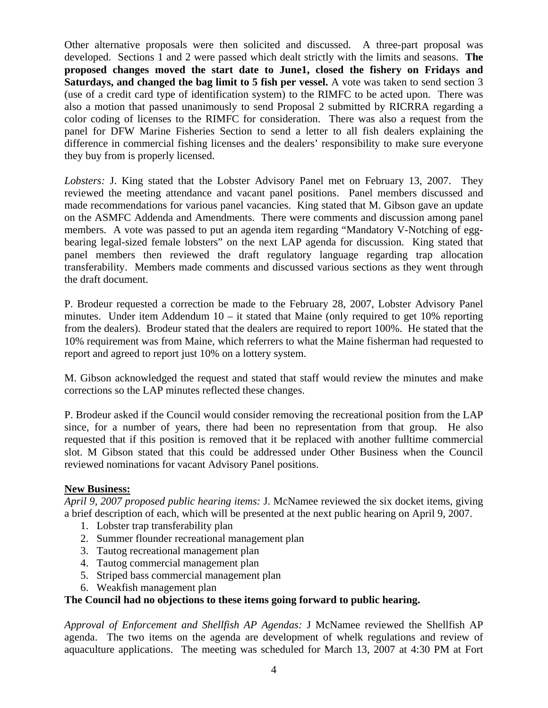Other alternative proposals were then solicited and discussed. A three-part proposal was developed. Sections 1 and 2 were passed which dealt strictly with the limits and seasons. **The proposed changes moved the start date to June1, closed the fishery on Fridays and Saturdays, and changed the bag limit to 5 fish per vessel.** A vote was taken to send section 3 (use of a credit card type of identification system) to the RIMFC to be acted upon. There was also a motion that passed unanimously to send Proposal 2 submitted by RICRRA regarding a color coding of licenses to the RIMFC for consideration. There was also a request from the panel for DFW Marine Fisheries Section to send a letter to all fish dealers explaining the difference in commercial fishing licenses and the dealers' responsibility to make sure everyone they buy from is properly licensed.

*Lobsters:* J. King stated that the Lobster Advisory Panel met on February 13, 2007. They reviewed the meeting attendance and vacant panel positions. Panel members discussed and made recommendations for various panel vacancies. King stated that M. Gibson gave an update on the ASMFC Addenda and Amendments. There were comments and discussion among panel members. A vote was passed to put an agenda item regarding "Mandatory V-Notching of eggbearing legal-sized female lobsters" on the next LAP agenda for discussion. King stated that panel members then reviewed the draft regulatory language regarding trap allocation transferability. Members made comments and discussed various sections as they went through the draft document.

P. Brodeur requested a correction be made to the February 28, 2007, Lobster Advisory Panel minutes. Under item Addendum  $10 -$  it stated that Maine (only required to get 10% reporting from the dealers). Brodeur stated that the dealers are required to report 100%. He stated that the 10% requirement was from Maine, which referrers to what the Maine fisherman had requested to report and agreed to report just 10% on a lottery system.

M. Gibson acknowledged the request and stated that staff would review the minutes and make corrections so the LAP minutes reflected these changes.

P. Brodeur asked if the Council would consider removing the recreational position from the LAP since, for a number of years, there had been no representation from that group. He also requested that if this position is removed that it be replaced with another fulltime commercial slot. M Gibson stated that this could be addressed under Other Business when the Council reviewed nominations for vacant Advisory Panel positions.

# **New Business:**

*April 9, 2007 proposed public hearing items:* J. McNamee reviewed the six docket items, giving a brief description of each, which will be presented at the next public hearing on April 9, 2007.

- 1. Lobster trap transferability plan
- 2. Summer flounder recreational management plan
- 3. Tautog recreational management plan
- 4. Tautog commercial management plan
- 5. Striped bass commercial management plan
- 6. Weakfish management plan

### **The Council had no objections to these items going forward to public hearing.**

*Approval of Enforcement and Shellfish AP Agendas:* J McNamee reviewed the Shellfish AP agenda. The two items on the agenda are development of whelk regulations and review of aquaculture applications. The meeting was scheduled for March 13, 2007 at 4:30 PM at Fort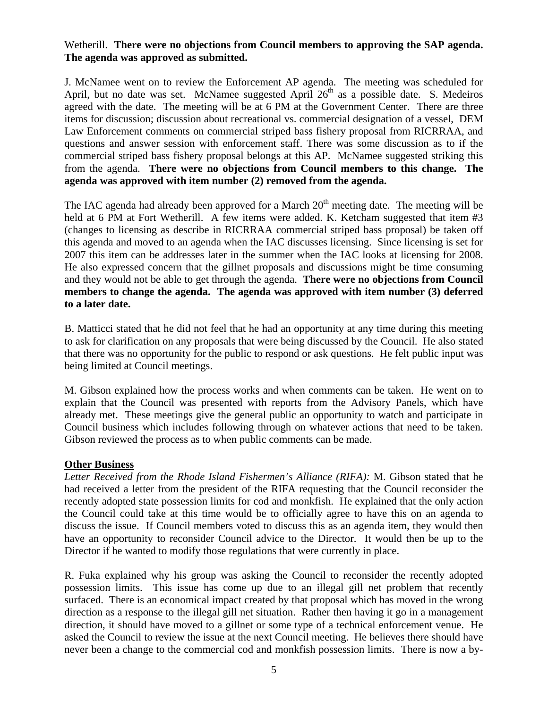# Wetherill. **There were no objections from Council members to approving the SAP agenda. The agenda was approved as submitted.**

J. McNamee went on to review the Enforcement AP agenda. The meeting was scheduled for April, but no date was set. McNamee suggested April  $26<sup>th</sup>$  as a possible date. S. Medeiros agreed with the date. The meeting will be at 6 PM at the Government Center. There are three items for discussion; discussion about recreational vs. commercial designation of a vessel, DEM Law Enforcement comments on commercial striped bass fishery proposal from RICRRAA, and questions and answer session with enforcement staff. There was some discussion as to if the commercial striped bass fishery proposal belongs at this AP. McNamee suggested striking this from the agenda. **There were no objections from Council members to this change. The agenda was approved with item number (2) removed from the agenda.** 

The IAC agenda had already been approved for a March  $20<sup>th</sup>$  meeting date. The meeting will be held at 6 PM at Fort Wetherill. A few items were added. K. Ketcham suggested that item #3 (changes to licensing as describe in RICRRAA commercial striped bass proposal) be taken off this agenda and moved to an agenda when the IAC discusses licensing. Since licensing is set for 2007 this item can be addresses later in the summer when the IAC looks at licensing for 2008. He also expressed concern that the gillnet proposals and discussions might be time consuming and they would not be able to get through the agenda. **There were no objections from Council members to change the agenda. The agenda was approved with item number (3) deferred to a later date.**

B. Matticci stated that he did not feel that he had an opportunity at any time during this meeting to ask for clarification on any proposals that were being discussed by the Council. He also stated that there was no opportunity for the public to respond or ask questions. He felt public input was being limited at Council meetings.

M. Gibson explained how the process works and when comments can be taken. He went on to explain that the Council was presented with reports from the Advisory Panels, which have already met. These meetings give the general public an opportunity to watch and participate in Council business which includes following through on whatever actions that need to be taken. Gibson reviewed the process as to when public comments can be made.

### **Other Business**

*Letter Received from the Rhode Island Fishermen's Alliance (RIFA):* M. Gibson stated that he had received a letter from the president of the RIFA requesting that the Council reconsider the recently adopted state possession limits for cod and monkfish. He explained that the only action the Council could take at this time would be to officially agree to have this on an agenda to discuss the issue. If Council members voted to discuss this as an agenda item, they would then have an opportunity to reconsider Council advice to the Director. It would then be up to the Director if he wanted to modify those regulations that were currently in place.

R. Fuka explained why his group was asking the Council to reconsider the recently adopted possession limits. This issue has come up due to an illegal gill net problem that recently surfaced. There is an economical impact created by that proposal which has moved in the wrong direction as a response to the illegal gill net situation. Rather then having it go in a management direction, it should have moved to a gillnet or some type of a technical enforcement venue. He asked the Council to review the issue at the next Council meeting. He believes there should have never been a change to the commercial cod and monkfish possession limits. There is now a by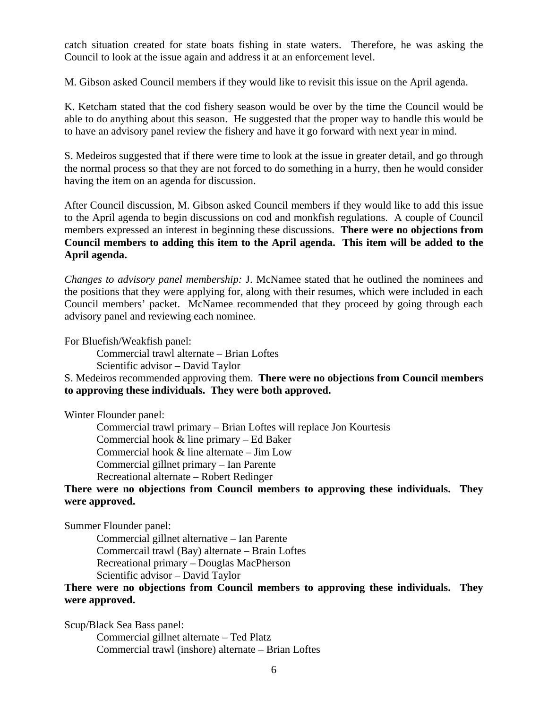catch situation created for state boats fishing in state waters. Therefore, he was asking the Council to look at the issue again and address it at an enforcement level.

M. Gibson asked Council members if they would like to revisit this issue on the April agenda.

K. Ketcham stated that the cod fishery season would be over by the time the Council would be able to do anything about this season. He suggested that the proper way to handle this would be to have an advisory panel review the fishery and have it go forward with next year in mind.

S. Medeiros suggested that if there were time to look at the issue in greater detail, and go through the normal process so that they are not forced to do something in a hurry, then he would consider having the item on an agenda for discussion.

After Council discussion, M. Gibson asked Council members if they would like to add this issue to the April agenda to begin discussions on cod and monkfish regulations. A couple of Council members expressed an interest in beginning these discussions. **There were no objections from Council members to adding this item to the April agenda. This item will be added to the April agenda.**

*Changes to advisory panel membership:* J. McNamee stated that he outlined the nominees and the positions that they were applying for, along with their resumes, which were included in each Council members' packet. McNamee recommended that they proceed by going through each advisory panel and reviewing each nominee.

For Bluefish/Weakfish panel:

Commercial trawl alternate – Brian Loftes

Scientific advisor – David Taylor

### S. Medeiros recommended approving them. **There were no objections from Council members to approving these individuals. They were both approved.**

Winter Flounder panel:

 Commercial trawl primary – Brian Loftes will replace Jon Kourtesis Commercial hook & line primary – Ed Baker Commercial hook & line alternate – Jim Low Commercial gillnet primary – Ian Parente Recreational alternate – Robert Redinger

# **There were no objections from Council members to approving these individuals. They were approved.**

Summer Flounder panel:

 Commercial gillnet alternative – Ian Parente Commercail trawl (Bay) alternate – Brain Loftes Recreational primary – Douglas MacPherson Scientific advisor – David Taylor

# **There were no objections from Council members to approving these individuals. They were approved.**

Scup/Black Sea Bass panel: Commercial gillnet alternate – Ted Platz Commercial trawl (inshore) alternate – Brian Loftes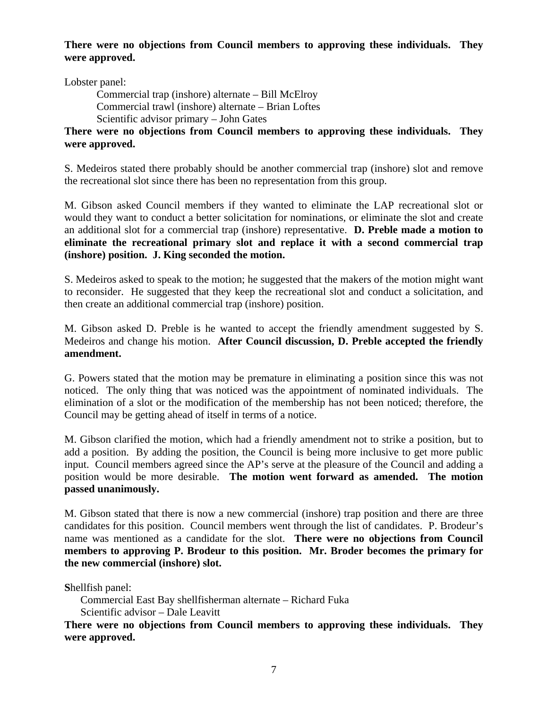# **There were no objections from Council members to approving these individuals. They were approved.**

Lobster panel:

 Commercial trap (inshore) alternate – Bill McElroy Commercial trawl (inshore) alternate – Brian Loftes Scientific advisor primary – John Gates

**There were no objections from Council members to approving these individuals. They were approved.** 

S. Medeiros stated there probably should be another commercial trap (inshore) slot and remove the recreational slot since there has been no representation from this group.

M. Gibson asked Council members if they wanted to eliminate the LAP recreational slot or would they want to conduct a better solicitation for nominations, or eliminate the slot and create an additional slot for a commercial trap (inshore) representative. **D. Preble made a motion to eliminate the recreational primary slot and replace it with a second commercial trap (inshore) position. J. King seconded the motion.** 

S. Medeiros asked to speak to the motion; he suggested that the makers of the motion might want to reconsider. He suggested that they keep the recreational slot and conduct a solicitation, and then create an additional commercial trap (inshore) position.

M. Gibson asked D. Preble is he wanted to accept the friendly amendment suggested by S. Medeiros and change his motion. **After Council discussion, D. Preble accepted the friendly amendment.** 

G. Powers stated that the motion may be premature in eliminating a position since this was not noticed. The only thing that was noticed was the appointment of nominated individuals. The elimination of a slot or the modification of the membership has not been noticed; therefore, the Council may be getting ahead of itself in terms of a notice.

M. Gibson clarified the motion, which had a friendly amendment not to strike a position, but to add a position. By adding the position, the Council is being more inclusive to get more public input. Council members agreed since the AP's serve at the pleasure of the Council and adding a position would be more desirable. **The motion went forward as amended. The motion passed unanimously.**

M. Gibson stated that there is now a new commercial (inshore) trap position and there are three candidates for this position. Council members went through the list of candidates. P. Brodeur's name was mentioned as a candidate for the slot. **There were no objections from Council members to approving P. Brodeur to this position. Mr. Broder becomes the primary for the new commercial (inshore) slot.** 

**S**hellfish panel:

Commercial East Bay shellfisherman alternate – Richard Fuka

Scientific advisor – Dale Leavitt

**There were no objections from Council members to approving these individuals. They were approved.**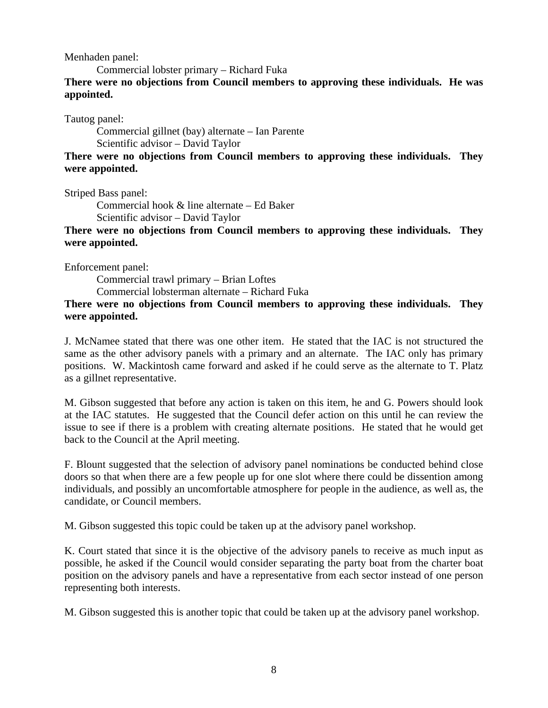Menhaden panel:

Commercial lobster primary – Richard Fuka

**There were no objections from Council members to approving these individuals. He was appointed.** 

Tautog panel:

 Commercial gillnet (bay) alternate – Ian Parente Scientific advisor – David Taylor

# **There were no objections from Council members to approving these individuals. They were appointed.**

Striped Bass panel:

 Commercial hook & line alternate – Ed Baker Scientific advisor – David Taylor

**There were no objections from Council members to approving these individuals. They were appointed.** 

Enforcement panel:

 Commercial trawl primary – Brian Loftes Commercial lobsterman alternate – Richard Fuka

## **There were no objections from Council members to approving these individuals. They were appointed.**

J. McNamee stated that there was one other item. He stated that the IAC is not structured the same as the other advisory panels with a primary and an alternate. The IAC only has primary positions. W. Mackintosh came forward and asked if he could serve as the alternate to T. Platz as a gillnet representative.

M. Gibson suggested that before any action is taken on this item, he and G. Powers should look at the IAC statutes. He suggested that the Council defer action on this until he can review the issue to see if there is a problem with creating alternate positions. He stated that he would get back to the Council at the April meeting.

F. Blount suggested that the selection of advisory panel nominations be conducted behind close doors so that when there are a few people up for one slot where there could be dissention among individuals, and possibly an uncomfortable atmosphere for people in the audience, as well as, the candidate, or Council members.

M. Gibson suggested this topic could be taken up at the advisory panel workshop.

K. Court stated that since it is the objective of the advisory panels to receive as much input as possible, he asked if the Council would consider separating the party boat from the charter boat position on the advisory panels and have a representative from each sector instead of one person representing both interests.

M. Gibson suggested this is another topic that could be taken up at the advisory panel workshop.